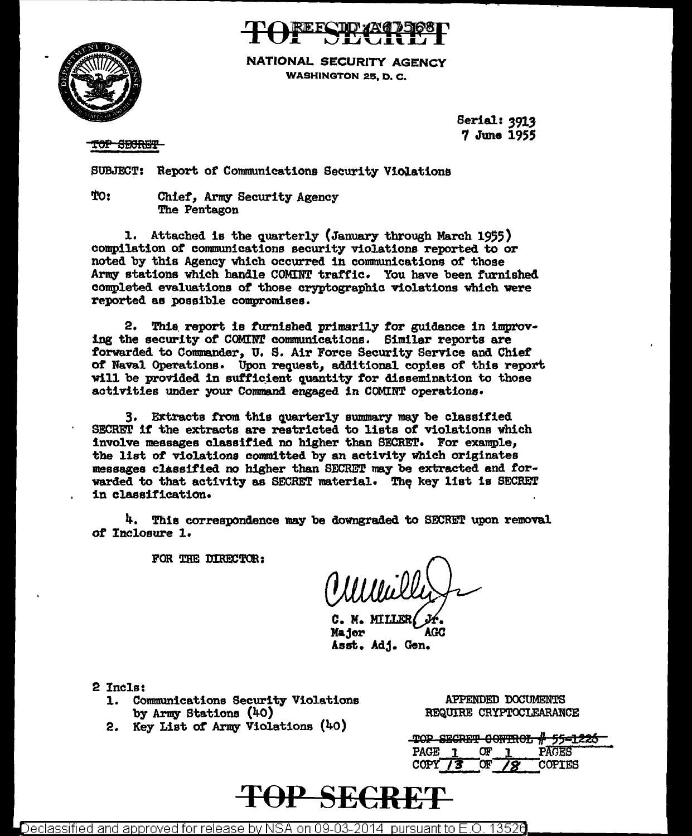



**NATIONAL SECURITY AGENCY WASHINGTON 25. D. C.** 

> Serial: 3913 7 June 1955

TOP SECRET

SUBJECT: Report of Communications Security Violations

TO: Chief, Army Security Agency The Pentagon

1. Attached is the quarterly (January through March 1955) compilation of communications security violations reported to or noted by this Agency which occurred in communications of those Army stations which handle COMINT traffic. You have been furnished completed evaluations of those cryptographic violations which were reported as possible compromises.

2. This report is furnished primarily for guidance in improving the security of COMINT communications. Similar reports are forwarded to Commander, U. S. Air Force Security Service and Chief of Naval Operations. Upon request, additional copies of this report will be provided in sufficient quantity for dissemination to those activities under your Command engaged in COMINT operations.

3. Extracts from this quarterly summary may be classified SECRET if the extracts are restricted to lists of violations which involve messages classified no higher than SECRET. For example, the list of violations committed by an activity which originates messages classified no higher than SECRET may be extracted and forwarded to that activity as SECRET material. The key list is SECRET in classification.

4. This correspondence may be downgraded to SECRET upon removal of Inclosure 1.

FOR THE DIRECTOR:

C. M. MILLER Major AGC Asst. Adj. Gen.

2 Incls:

- 1. Communications Security Violations by Army Stations (40)
- 2. Key List of Army Violations (40)

APPENDED DOCUMENTS REQUIRE CRYPTOCLEARANCE

|             |    | TOP SECRET CONTROL # 55-1226 |
|-------------|----|------------------------------|
| <b>PAGE</b> | ΩF | PAGES                        |
| <b>COPY</b> |    | <b>COPTES</b>                |

# TOP SECRE'

 $\bigtriangleup$ eclassified and approved for release by NSA on 09-03-2014  $\,$  pursuant to E.O. 13526  $\,$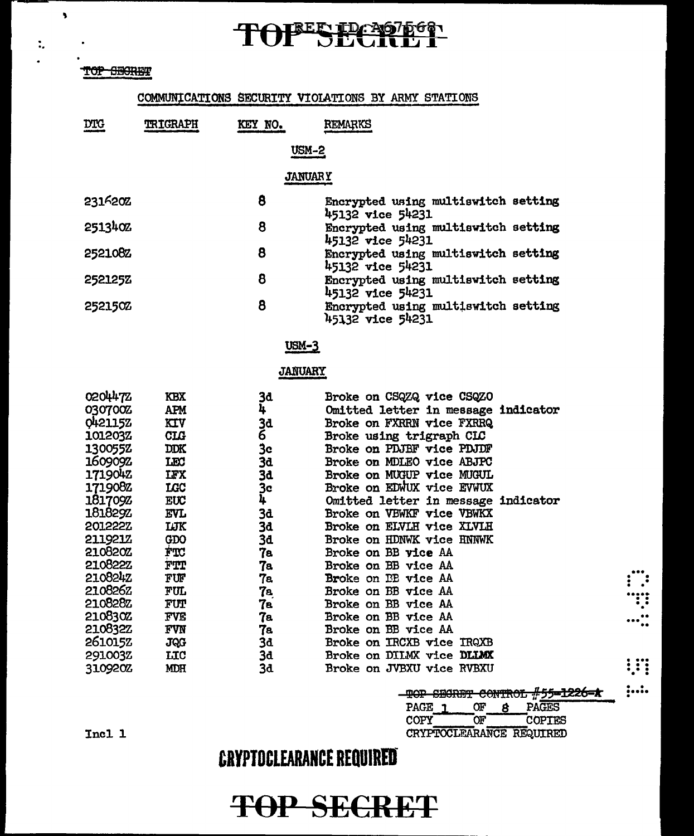# TOPES PC107666

### TOP SEGRET

 $\overline{\mathbf{3}}$ 

 $\ddot{\phantom{a}}$ 

### COMMUNICATIONS SECURITY VIOLATIONS BY ARMY STATIONS

| <b>DTG</b>                                                                                                                                                                                                                                     | <b>TRIGRAPH</b>                                                                                                                                                                                                      | KEY NO.                                                                                                                       | REMARKS                                                                                                                                                                                                                                                                                                                                                                                                                                                                                                                                                                                                                                           |  |  |  |  |
|------------------------------------------------------------------------------------------------------------------------------------------------------------------------------------------------------------------------------------------------|----------------------------------------------------------------------------------------------------------------------------------------------------------------------------------------------------------------------|-------------------------------------------------------------------------------------------------------------------------------|---------------------------------------------------------------------------------------------------------------------------------------------------------------------------------------------------------------------------------------------------------------------------------------------------------------------------------------------------------------------------------------------------------------------------------------------------------------------------------------------------------------------------------------------------------------------------------------------------------------------------------------------------|--|--|--|--|
|                                                                                                                                                                                                                                                |                                                                                                                                                                                                                      | <b>USM-2</b>                                                                                                                  |                                                                                                                                                                                                                                                                                                                                                                                                                                                                                                                                                                                                                                                   |  |  |  |  |
|                                                                                                                                                                                                                                                | <b>JANUARY</b>                                                                                                                                                                                                       |                                                                                                                               |                                                                                                                                                                                                                                                                                                                                                                                                                                                                                                                                                                                                                                                   |  |  |  |  |
| 2316202                                                                                                                                                                                                                                        |                                                                                                                                                                                                                      | 8                                                                                                                             | Encrypted using multiswitch setting<br>45132 vice 54231                                                                                                                                                                                                                                                                                                                                                                                                                                                                                                                                                                                           |  |  |  |  |
| 2513402                                                                                                                                                                                                                                        |                                                                                                                                                                                                                      | 8                                                                                                                             | Encrypted using multiswitch setting<br>45132 vice 54231                                                                                                                                                                                                                                                                                                                                                                                                                                                                                                                                                                                           |  |  |  |  |
| 2521082                                                                                                                                                                                                                                        |                                                                                                                                                                                                                      | 8                                                                                                                             | Encrypted using multiswitch setting<br>45132 vice 54231                                                                                                                                                                                                                                                                                                                                                                                                                                                                                                                                                                                           |  |  |  |  |
| <b>252125Z</b>                                                                                                                                                                                                                                 |                                                                                                                                                                                                                      | 8                                                                                                                             | Encrypted using multiswitch setting<br>45132 vice 54231                                                                                                                                                                                                                                                                                                                                                                                                                                                                                                                                                                                           |  |  |  |  |
| 2521502                                                                                                                                                                                                                                        |                                                                                                                                                                                                                      | 8                                                                                                                             | Encrypted using multiswitch setting<br>45132 vice 54231                                                                                                                                                                                                                                                                                                                                                                                                                                                                                                                                                                                           |  |  |  |  |
|                                                                                                                                                                                                                                                | $USM-3$                                                                                                                                                                                                              |                                                                                                                               |                                                                                                                                                                                                                                                                                                                                                                                                                                                                                                                                                                                                                                                   |  |  |  |  |
|                                                                                                                                                                                                                                                |                                                                                                                                                                                                                      | <b>JANUARY</b>                                                                                                                |                                                                                                                                                                                                                                                                                                                                                                                                                                                                                                                                                                                                                                                   |  |  |  |  |
| 0204472<br>030700Z<br>0421152<br>101203Z<br>1300552<br>1609092<br>171904Z<br>1719082<br>1817092<br>181829Z<br>2012222<br>211921Z<br>210820Z<br>210822Z<br>2108242<br>2108262<br>210828Z<br>210830Z<br>210832Z<br>2610152<br>291003Z<br>310920Z | КBX<br>APM<br>KIV<br><b>CLG</b><br><b>DDK</b><br>LEC<br><b>IFX</b><br>LGC<br>EUC<br><b>EVL</b><br>ШK<br>GDO<br>FTC<br>FTT<br>FUF<br>FUL<br><b>FUT</b><br><b>FVE</b><br><b>FVN</b><br><b>JQG</b><br>LIC<br><b>MDH</b> | 3đ<br>4<br>3d<br>6<br>Зc<br>3d<br>3d<br>3c<br>4<br>3d<br>3d<br>3d<br>7e<br>7a<br>7a<br>7a<br>7а<br>7а<br>7a<br>3d<br>3d<br>3d | Broke on CSQZQ vice CSQZO<br>Omitted letter in message indicator<br>Broke on FXRRN vice FXRRQ<br>Broke using trigraph CLC<br>Broke on PDJBF vice PDJDF<br>Broke on MDLEO vice ABJPC<br>Broke on MUGUP vice MUGUL<br>Broke on EDWUX vice EVWUX<br>Omitted letter in message indicator<br>Broke on VBWKF vice VBWKX<br>Broke on ELVLH vice XLVLH<br>Broke on HDNWK vice HNNWK<br>Broke on BB vice AA<br>Broke on BB vice AA<br><b>Broke on BE vice AA</b><br>Broke on BB vice AA<br>Broke on BB vice AA<br>Broke on BB vice AA<br><b>Broke on BB vice AA</b><br>Broke on IRCXB vice IRQXB<br>Broke on DILMX vice DLLMX<br>Broke on JVBXU vice RVBXU |  |  |  |  |

|      | TOP SECRET CONTROL #55-1226-A |               |  |
|------|-------------------------------|---------------|--|
| PAGE | ገዞ                            | PAGES         |  |
| COPY | w                             | <b>COPTES</b> |  |
|      | CRYPTOCLEARANCE REQUIRED      |               |  |

 $\vdots$ W  $\cdots$  :

W

 $;...$ 

### **CRYPTOCLEARANCE REQUIRED**

Incl 1

# **TOP SECRET**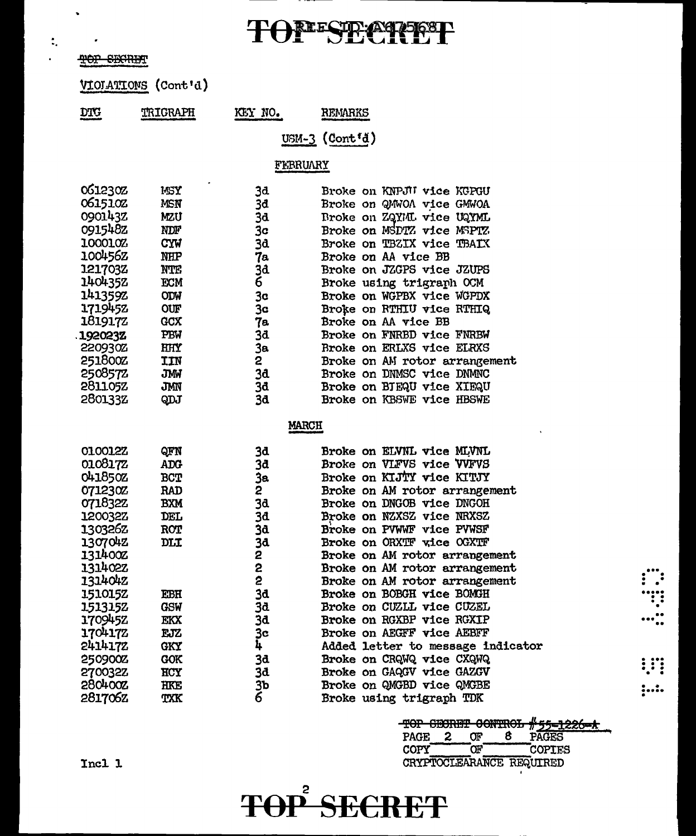# TONESE CREEP

### TOP SECRET

VIOIATIONS (Cont'd)

| <b>DTG</b> | TRIGRAPH | KEY NO. | <b>REMARKS</b>                               |
|------------|----------|---------|----------------------------------------------|
| ____       |          |         | the company of the company of the company of |

 $USM-3$  (Cont'd)

### FEBRUARY

 $-$ 

| 061230Z        | WSY        | 3d. | Broke on KNPJII vice KGPGU    |
|----------------|------------|-----|-------------------------------|
| 0615102        | MSN        | 3đ  | Broke on QMWOA vice GMWOA     |
| 0901432        | MZU        | 3d  | Broke on ZQYML vice UQYML     |
| 0915482        | NDF        | 3c  | Broke on MSDTZ vice MSPTZ     |
| 100010Z        | <b>CYW</b> | 3d  | Broke on TBZIX vice TBAIX     |
| 100456Z        | <b>NHP</b> | 7а  | Broke on AA vice BB           |
| 1217032        | NTE        | 3đ  | Broke on JZGPS vice JZUPS     |
| 1404352        | <b>ECM</b> | 6   | Broke using trigraph OCM      |
| 1413592        | ODW        | 3c  | Broke on WGPBX vice WGPDX     |
| 1719452        | <b>OUF</b> | 3c  | Broke on RTHIU vice RTHIQ     |
| 181917Z        | <b>GCX</b> | 7а  | Broke on AA vice BB           |
| 192023Z        | PBW        | 3đ  | Broke on FNRBD vice FNRBW     |
| 220930Z        | <b>HHY</b> | 3в. | Broke on ERLXS vice ELRXS     |
| 251800Z        | IIN        | 2   | Broke on AM rotor arrangement |
| 2508572        | JMW        | 3d  | Broke on DNMSC vice DNMNC     |
| <b>281105Z</b> | JMN        | 3đ  | Broke on BJEQU vice XIEQU     |
| 280133Z        | QDJ        | 3d  | Broke on KBSWE vice HBSWE     |

#### **MARCH**

| 010012Z | QFN        | 3d             | <b>Broke on ELVNL vice MLVNL</b>  |     |
|---------|------------|----------------|-----------------------------------|-----|
| 010817Z | <b>ADG</b> | 3đ             | Broke on VLFVS vice VVFVS         |     |
| 041850Z | <b>BCT</b> | Зa             | Broke on KIJTY vice KITJY         |     |
| 071230Z | RAD        | 2              | Broke on AM rotor arrangement     |     |
| 071832Z | <b>BXM</b> | 3d             | Broke on DNGOB vice DNGOH         |     |
| 120032Z | DEL        | 3d             | Broke on NZXSZ vice NRXSZ         |     |
| 130326Z | <b>ROT</b> | 3d             | Broke on PVWWF vice PVWSF         |     |
| 1307042 | DLI        | 3d             | Broke on ORXTF wice OGXTF         |     |
| 131400Z |            | 2              | Broke on AM rotor arrangement     |     |
| 131402Z |            | 2              | Broke on AM rotor arrangement     |     |
| 1314042 |            | 2              | Broke on AM rotor arrangement     |     |
| 151015Z | EBH        | 3d             | <b>Broke on BOBGH vice BOMGH</b>  | ः   |
| 1513152 | GSW        | 3d             | Broke on CUZLL vice CUZEL         |     |
| 1709452 | EKX        | 3d             | Broke on RGXBP vice RGXIP         |     |
| 1704172 | EJZ        | 3c             | Broke on AEGFF vice AEBFF         |     |
| 2414172 | <b>GKY</b> | 4              | Added letter to message indicator |     |
| 250900Z | <b>GOK</b> | 3d             | Broke on CRQWQ vice CXQWQ         |     |
| 270032Z | HCY        | 3d             | Broke on GAQGV vice GAZGV         | !!! |
| 2804002 | HKE        | 3b             | Broke on QMGBD vice QMGBE         | ;:. |
| 281706Z | TXK        | $\overline{6}$ | Broke using trigraph TDK          |     |

|             |    |    |    | TOP CEORET CONTROL #55-1226-A |  |
|-------------|----|----|----|-------------------------------|--|
| <b>PAGE</b> | -2 | ጡ  | R. | PAGES                         |  |
| <b>COPY</b> |    | ንሞ |    | <b>COPIES</b>                 |  |
|             |    |    |    | CRYPTOCLEARANCE REQUIRED      |  |

Incl 1

# **TOP SECRET**

 $\ddot{\phantom{0}}$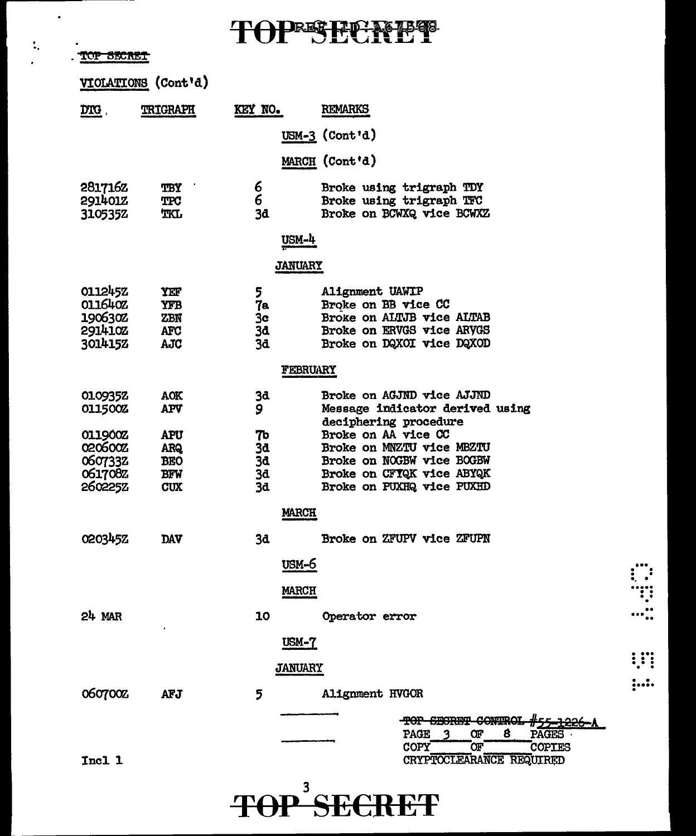**TOPESECNET** 

TOP SECRET

 $\bullet$ 

 $\frac{1}{2}$ 

|                                         | VIOLATIONS (Cont'd)      |                 |                                                          |  |
|-----------------------------------------|--------------------------|-----------------|----------------------------------------------------------|--|
| $\overline{\text{D} \text{T} \text{G}}$ | TRIGRAPH                 | KEY NO.         | <b>REMARKS</b>                                           |  |
|                                         |                          |                 | USM-3 $(Cont 1d)$                                        |  |
|                                         |                          |                 | MARCH (Cont'd)                                           |  |
| 281716Z                                 | TBY                      | 6               | Broke using trigraph TDY                                 |  |
| 2914012<br>310535Z                      | <b>TPC</b><br><b>TKL</b> | 6<br>3d         | Broke using trigraph TFC<br>Broke on BCWXQ vice BCWXZ    |  |
|                                         |                          | <u>USM-4</u>    |                                                          |  |
|                                         |                          | <b>JANUARY</b>  |                                                          |  |
| 011245Z                                 | YEF                      | 5               | Alignment UAWIP                                          |  |
| 011640Z                                 | <b>YFB</b>               | 7a              | Broke on BB vice CC                                      |  |
| 1906302                                 | ZBN                      | 3 <sub>c</sub>  | Broke on ALTJB vice ALTAB                                |  |
| 2914102                                 | <b>AFC</b>               | 3đ              | Broke on ERVGS vice ARVGS                                |  |
| 3014152                                 | AJC                      | 3d              | Broke on DQXOI vice DQXOD                                |  |
|                                         |                          | <b>FEBRUARY</b> |                                                          |  |
| 0109352                                 | <b>AOK</b>               | 3d              | Broke on AGJND vice AJJND                                |  |
| 0115002                                 | APV                      | 9               | Message indicator derived using<br>deciphering procedure |  |
| 011900Z                                 | <b>APU</b>               | 76              | Broke on AA vice CC                                      |  |
| 0206002                                 | <b>ARQ</b>               | 3d              | Broke on MNZTU vice MBZTU                                |  |
| 0607332                                 | <b>BEO</b>               | 3d              | Broke on NOGBW vice BOGBW                                |  |
| 061708Z                                 | <b>BFW</b>               | 3d              | Broke on CFTQK vice ABYQK                                |  |
| 2602252                                 | <b>CUX</b>               | 3d              | Broke on PUXHQ vice PUXHD                                |  |
|                                         |                          | <b>MARCH</b>    |                                                          |  |
| 020345Z                                 | DAV                      | 3d              | Broke on ZFUPV vice ZFUPN                                |  |
|                                         |                          | usm-6           |                                                          |  |
|                                         |                          | <u>MARCH</u>    |                                                          |  |
| $24$ MAR                                |                          | 10              | Operator error                                           |  |
|                                         |                          | USM-7           |                                                          |  |
|                                         |                          | <b>JANUARY</b>  |                                                          |  |
| 060700Z                                 | <b>AFJ</b>               | 5               | Alignment HVGOR                                          |  |
|                                         |                          |                 | <b>SECRET CONTRO</b><br>- <del>TOP</del>                 |  |
|                                         |                          |                 | PAGE<br>Œ<br>8<br><b>PAGES</b>                           |  |
|                                         |                          |                 | COPY<br>Œ.<br><b>COPIES</b>                              |  |
| Incl 1                                  |                          |                 | CRYPTOCLEARANCE REQUIRED                                 |  |
|                                         |                          |                 |                                                          |  |

**TOP SECRET**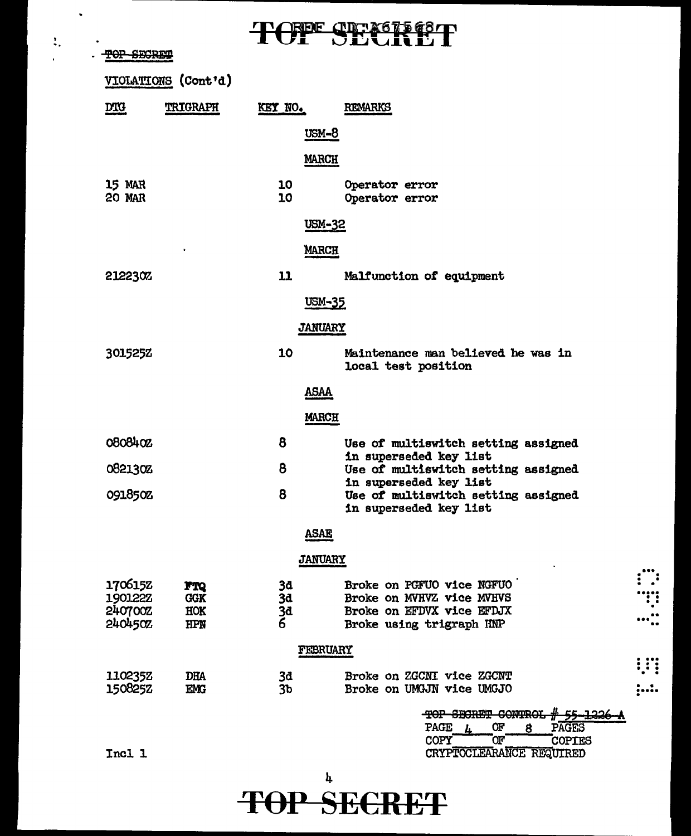# TOPE CDEX67568T

 $\ddot{\phantom{0}}$ 

 $\ddot{\ddot{}}$  .

 $\mathbf{r}$ 

| <b>SECRIM</b>      |                     |                | TAN DEATEI                                                    |  |
|--------------------|---------------------|----------------|---------------------------------------------------------------|--|
|                    | VIOLATIONS (Cont'd) |                |                                                               |  |
| <b>DTG</b>         | <b>TRIGRAPH</b>     | KEY NO.        | <b>REMARKS</b>                                                |  |
|                    |                     | <u>USM-8</u>   |                                                               |  |
|                    |                     | <b>MARCH</b>   |                                                               |  |
| <b>15 MAR</b>      |                     | 10             | Operator error                                                |  |
| <b>20 MAR</b>      |                     | 10             | Operator error                                                |  |
|                    |                     | USM-32         |                                                               |  |
|                    |                     | <b>MARCH</b>   |                                                               |  |
| 212230%            |                     | 11             | Malfunction of equipment                                      |  |
|                    |                     | USM-35         |                                                               |  |
|                    |                     | <b>JANUARY</b> |                                                               |  |
| 301525Z            |                     | 10             | Maintenance man believed he was in<br>local test position     |  |
|                    |                     | <u>ASAA</u>    |                                                               |  |
|                    |                     | <b>MARCH</b>   |                                                               |  |
| 0808402            |                     | 8              | Use of multiswitch setting assigned                           |  |
| 0821302            |                     | 8              | in superseded key list<br>Use of multiswitch setting assigned |  |
| 091850Z            |                     | 8              | in superseded key list<br>Use of multiswitch setting assigned |  |
|                    |                     |                | in superseded key list                                        |  |
|                    |                     | ASAE           |                                                               |  |
|                    |                     | <b>JANUARY</b> |                                                               |  |
| 1706152<br>1901222 | FTQ                 | 3d             | Broke on PGFUO vice NGFUO                                     |  |
| 240700Z            | <b>GGK</b><br>HOK   | 3d<br>3d       | Broke on MVHVZ vice MVHVS<br>Broke on EFDVX vice EFDJX        |  |
| 240450Z            | <b>HPN</b>          | 6              | Broke using trigraph HNP                                      |  |
|                    |                     | FEBRUARY       |                                                               |  |
| 110235Z            | <b>DHA</b>          | 3đ             | Broke on ZGCNI vice ZGCNT                                     |  |
| 150825Z            | EMG                 | 3 <sub>b</sub> | Broke on UMGJN vice UMGJO                                     |  |
|                    |                     |                | TOP SECRET CONTRO<br>PAGE<br>Œ<br><b>PAGES</b><br>8           |  |
|                    |                     |                | `œr<br>COPY<br><b>COPIES</b>                                  |  |
| Incl 1             |                     |                | CRYPTOCLEARANCE REQUIRED                                      |  |

### $\frac{1}{2}$ **TOP SECRET**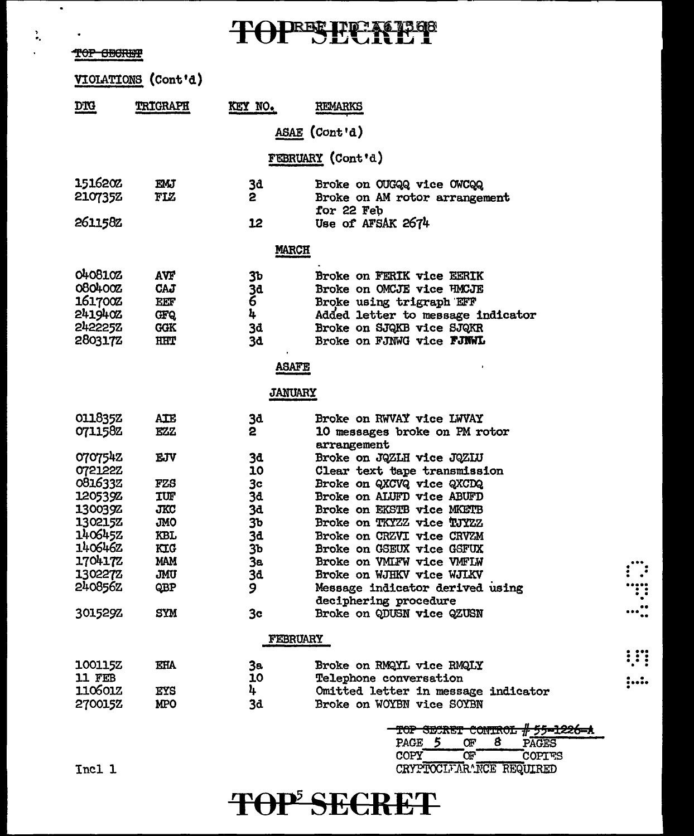TOPBE PEACHES

'.<br>.. <del>TOP BECKET</del>

 $\bullet$ 

|                        | VIOLATIONS (Cont'd) |                |                                     |
|------------------------|---------------------|----------------|-------------------------------------|
| $\overline{\text{DR}}$ | <b>TRIGRAPH</b>     | KEY NO.        | <b>REMARKS</b>                      |
|                        |                     |                | ASAE (Cont'd)                       |
|                        |                     |                | <b>FEBRUARY</b> (Cont'd)            |
| 1516202                | EMJ                 | 3å             | Broke on OUGQQ vice OWCQQ           |
| 2107352                | FLZ                 | 2              | Broke on AM rotor arrangement       |
|                        |                     |                | for 22 Feb                          |
| 2611582                |                     | 12             | Use of AFSAK 2674                   |
|                        |                     | <b>MARCH</b>   |                                     |
| 0408102                | avf                 | Зb             | <b>Broke on FERIK vice EERIK</b>    |
| 080400Z                | Caj                 | 3d             | Broke on OMCJE vice HMCJE           |
| 161700Z                | EEF                 | 6              | Broke using trigraph EFF            |
| 2419402                | <b>GFQ</b>          | 4              | Added letter to message indicator   |
| 2422252                | <b>GGK</b>          | 3d             | Broke on SJQKB vice SJQKR           |
| 2803172                | HHT                 | 3d             | Broke on FJNWG vice FJNWL           |
|                        |                     | <b>ASAFE</b>   |                                     |
|                        |                     | <b>JANUARY</b> |                                     |
| 011835Z                | AIE                 | 3đ             | Broke on RWVAY vice LWVAY           |
| 0711582                | EZZ                 | 2              | 10 messages broke on PM rotor       |
|                        |                     |                | arrangement                         |
| 0707542                | <b>EJV</b>          | 3d             | Broke on JQZLH vice JQZIU           |
| 0721222                |                     | 10             | Clear text tape transmission        |
| 0816332                | FZS                 | 3 <sub>c</sub> | Broke on QXCVQ vice QXCDQ           |
| 120539Z                | IUF                 | 34             | Broke on ALUFD vice ABUFD           |
| 1300392                | <b>JKC</b>          | 3d             | Broke on EKSTB vice MKETB           |
| 130215Z                | <b>JMO</b>          | 3b             | Broke on TKYZZ vice TJYZZ           |
| 1406452                | KBL                 | 3d             | Broke on CRZVI vice CRVZM           |
| 140646Z                | KIG                 | 3b             | Broke on GSEUX vice GSFUX           |
| 1704172                | <b>MAM</b>          | 3a             | Broke on VMLFW vice VMFLW           |
| 1302272                | JMU                 | 3d             | Broke on WJHKV vice WJLKV           |
| 240856Z                | QBP                 | 9              | Message indicator derived using     |
|                        |                     |                | deciphering procedure               |
| 301529Z                | <b>SYM</b>          | 3c             | Broke on QDUSN vice QZUSN           |
|                        |                     | FEBRUARY       |                                     |
| <b>100115Z</b>         | <b>EHA</b>          | Зa.            | Broke on RMQYL vice RMQLY           |
| 11 FEB                 |                     | 10             | Telephone conversation              |
| 1106012                | EYS                 | 4              | Omitted letter in message indicator |
| 2700152                | MPO                 | 3d             | Broke on WOYBN vice SOYBN           |
|                        |                     |                | TOP SECRET CONTROL # 55-1226-A      |
|                        |                     |                | PAGE 5<br>Œ<br>8<br>PAGES           |

## CRYPTOCIFAR^NCE REQUIRED TOP<sup>5</sup> SECRET

COPY OF COPIES

 $\dddot{}}$  .

..... .. . . . .. ... ..

.... . . . . . . . .

 $, ...$ 

Incl 1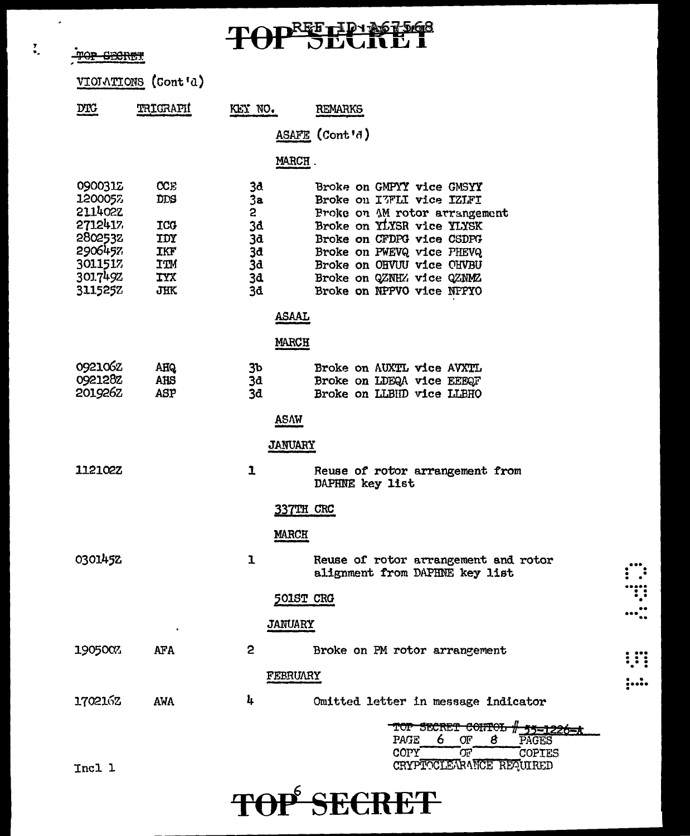TOP SECRET

 $\overline{a}$ 

 $\overline{\mathbf{r}}$ 

# TOPEETEN PEGS

|                                                                                      | VIOIATIONS (Cont'd)                                  |                                                          |                                                                                                                                                                                                                                          |  |
|--------------------------------------------------------------------------------------|------------------------------------------------------|----------------------------------------------------------|------------------------------------------------------------------------------------------------------------------------------------------------------------------------------------------------------------------------------------------|--|
| $\underline{\text{DTC}}$                                                             | TRIGRAPI                                             | KEY NO.                                                  | <b>REMARKS</b>                                                                                                                                                                                                                           |  |
|                                                                                      |                                                      |                                                          | ASAFE (Cont'd)                                                                                                                                                                                                                           |  |
|                                                                                      |                                                      | MARCH.                                                   |                                                                                                                                                                                                                                          |  |
| 0900312<br>1200057<br>211402Z<br>2712417<br>2802532<br>2906457<br>3011517<br>3017492 | CCE<br>DDS<br>ICO<br>IDY<br>IKF<br>ITM<br><b>TYX</b> | 3d<br>3a<br>$\overline{c}$<br>3d<br>3d<br>3d<br>3d<br>34 | Broke on GMPYY vice GMSYY<br>Broke on I7FLI vice IZIFI<br>Proke on AM rotor arrangement<br>Broke on YLYSR vice YLYSK<br>Broke on CFDPG vice CSDPG<br>Broke on PWEVQ vice PHEVQ<br>Broke on OHVUU vice OHVBU<br>Broke on QZNHZ vice QZNMZ |  |
| 3115257                                                                              | <b>JHK</b>                                           | 3d                                                       | Broke on NPPVO vice NPPYO                                                                                                                                                                                                                |  |
|                                                                                      |                                                      | <b>ASAAL</b><br><b>MARCH</b>                             |                                                                                                                                                                                                                                          |  |
| 0921062<br>0921282<br>201926Z                                                        | <b>AHQ</b><br>AHS<br>ASP                             | 3 <sub>b</sub><br>3d<br>3d<br><b>ASAW</b>                | Broke on AUXTL vice AVXTL<br>Broke on LDEQA vice EEEQF<br>Broke on LLBHD vice LLBHO                                                                                                                                                      |  |
|                                                                                      |                                                      | <b>JANUARY</b>                                           |                                                                                                                                                                                                                                          |  |
| 1121022                                                                              |                                                      | 1                                                        | Reuse of rotor arrangement from<br>DAPHNE key list                                                                                                                                                                                       |  |
|                                                                                      |                                                      | 337TH CRC                                                |                                                                                                                                                                                                                                          |  |
|                                                                                      |                                                      | <b>MARCH</b>                                             |                                                                                                                                                                                                                                          |  |
| 0301452                                                                              |                                                      | ı                                                        | Reuse of rotor arrangement and rotor<br>alignment from DAPHNE key list                                                                                                                                                                   |  |
|                                                                                      |                                                      | <b>501ST CRG</b>                                         |                                                                                                                                                                                                                                          |  |
|                                                                                      |                                                      | <b>JANUARY</b>                                           |                                                                                                                                                                                                                                          |  |
| 1905007                                                                              | <b>AFA</b>                                           | 2                                                        | Broke on PM rotor arrangement                                                                                                                                                                                                            |  |
|                                                                                      |                                                      | FEBRUARY                                                 |                                                                                                                                                                                                                                          |  |
| 1702162                                                                              | <b>AWA</b>                                           | 4                                                        | Omitted letter in message indicator                                                                                                                                                                                                      |  |
| Incl 1                                                                               |                                                      |                                                          | <del>corre</del> n<br>TUP SECRET<br>PAGE<br>6<br>Œ<br>8<br>PAGES<br>הס<br>COPY<br><b>COPIES</b><br>CRYPTOCLEARANCE REQUIRED                                                                                                              |  |

# TOP<sup>6</sup> SECRET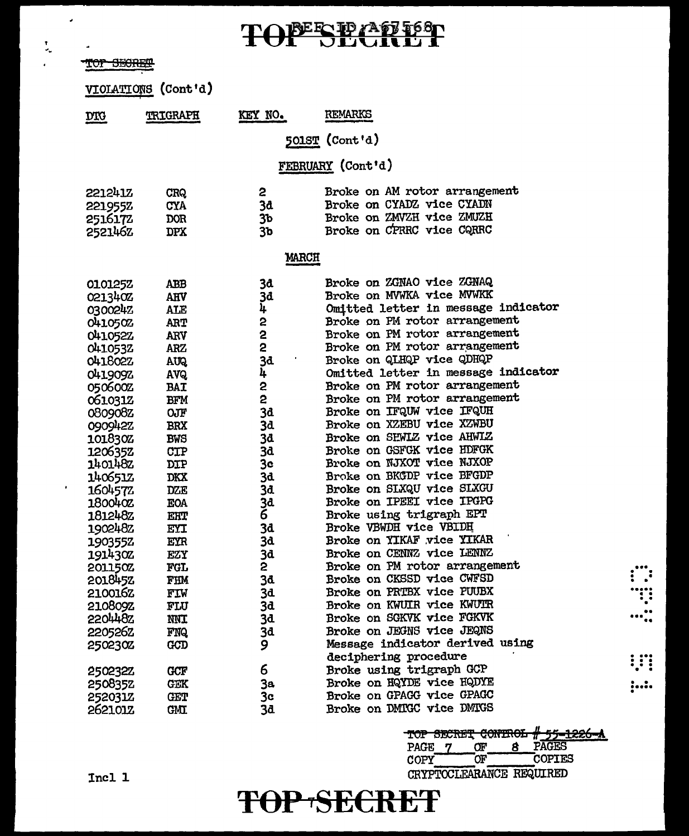TOPESPATIST

| TOI DECIDE     |                     |                         |                                     |   |
|----------------|---------------------|-------------------------|-------------------------------------|---|
|                | VIOLATIONS (Cont'd) |                         |                                     |   |
| <b>DIG</b>     | TRIGRAPH            | KEY NO.                 | <b>REMARKS</b>                      |   |
|                |                     |                         | 501ST (Cont'd)                      |   |
|                |                     |                         | FEBRUARY (Cont'd)                   |   |
|                |                     |                         |                                     |   |
| <b>221241Z</b> | CRQ                 | 2                       | Broke on AM rotor arrangement       |   |
| 221955Z        | <b>CYA</b>          | 38                      | Broke on CYADZ vice CYADN           |   |
| 2516172        | DOR                 | 3 <sub>b</sub>          | Broke on ZMVZH vice ZMUZH           |   |
| 2521462        | <b>DPX</b>          | 3 <sub>b</sub>          | Broke on CPRRC vice CQRRC           |   |
|                |                     | <b>MARCH</b>            |                                     |   |
| 0101252        | ABB                 | 3a                      | Broke on ZGNAO vice ZGNAQ           |   |
| 021340Z        | <b>AHV</b>          | 3d                      | Broke on MVWKA vice MVWKK           |   |
| 0300242        | ALE                 | 4                       | Omitted letter in message indicator |   |
| 0410502        | <b>ART</b>          | 2                       | Broke on PM rotor arrangement       |   |
| 041052Z        | ARV                 | $\overline{\mathbf{c}}$ | Broke on PM rotor arrangement       |   |
| 0410532        | <b>ARZ</b>          | 2                       | Broke on PM rotor arrangement       |   |
| <b>041802Z</b> | AUQ.                | 3d                      | Broke on QLHQP vice QDHQP           |   |
| 0419092        | AVQ.                | 4                       | Omitted letter in message indicator |   |
| 050600Z        | <b>BAT</b>          | 2                       | Broke on PM rotor arrangement       |   |
| 0610312        | <b>BFM</b>          | 2                       | Broke on PM rotor arrangement       |   |
| 080908Z        | OJF                 | 3d                      | Broke on IFQUW vice IFQUH           |   |
| 090942Z        | <b>BRX</b>          | 3d                      | Broke on XZEBU vice XZWBU           |   |
| 101830Z        | <b>BWS</b>          | 3d                      | Broke on SEWLZ vice AHWLZ           |   |
| 1206352        | CTP                 | <b>3d</b>               | Broke on GSFGK vice HDFGK           |   |
| 1401482        | <b>DIP</b>          | 3c                      | Broke on NJXOT vice NJXOP           |   |
| 140651Z        | DKX                 | 3d                      | Broke on BKGDP vice BFGDP           |   |
| 1604572        | <b>DZE</b>          | 3d                      | Broke on SLXQU vice SLXGU           |   |
| 180040Z        | <b>EOA</b>          | <b>3d</b>               | Broke on IPEEI vice IPGPG           |   |
| 181248Z        | EHT                 | $\tilde{6}$             | Broke using trigraph EPT            |   |
| 1902482        | EYI                 | 3d                      | Broke VBWDH vice VBIDH              |   |
| 190355Z        | EYR                 | 3d                      | Broke on YIKAF vice YIKAR           |   |
| 191430Z        | EZY                 | 3d                      | Broke on CENNZ vice LENNZ           |   |
| 201150Z        | <b>FGL</b>          | 2                       | Broke on PM rotor arrangement       |   |
| 201845Z        | FHM                 | 3d                      | Broke on CKSSD vice CWFSD           |   |
| 210016Z        | FIW                 | 3d                      | Broke on PRTBX vice PUUBX           | ः |
| 210809Z        | FLU                 | 3d                      | Broke on KWUIR vice KWUIR           |   |
| <b>220448Z</b> | <b>NNT</b>          | 3d                      | Broke on SGKVK vice FGKVK           |   |
| 220526Z        | <b>FNQ</b>          | 3d                      | Broke on JEGNS vice JEQNS           |   |
| 2502302        | <b>GCD</b>          | 9                       | Message indicator derived using     |   |
|                |                     |                         | deciphering procedure               |   |
| 250232Z        | <b>GCF</b>          | 6                       | Broke using trigraph GCP            |   |
| 250835Z        | <b>GEK</b>          | 3a                      | Broke on HQYDE vice HQDYE           |   |
| 252031Z        | <b>CET</b>          | 3c                      | Broke on GPAGG vice GPAGC           |   |
| 2621012        | <b>GMT</b>          | 3d                      | Broke on DMIGC vice DMIGS           |   |

# 55-1226-A<br>PAGES TOP SECRET CONTROL PAGE 7  $\alpha$ 8  $\overline{\text{OF}}$ COPIES COPY

CRYPTOCLEARANCE REQUIRED

### Incl 1

 $\mathcal{L}_{\mathcal{A}}$ 

 $\blacksquare$ 

 $\ddot{ }$ 

**MAR CERPET** 

 $\frac{1}{2}$ 

# TOP SECRET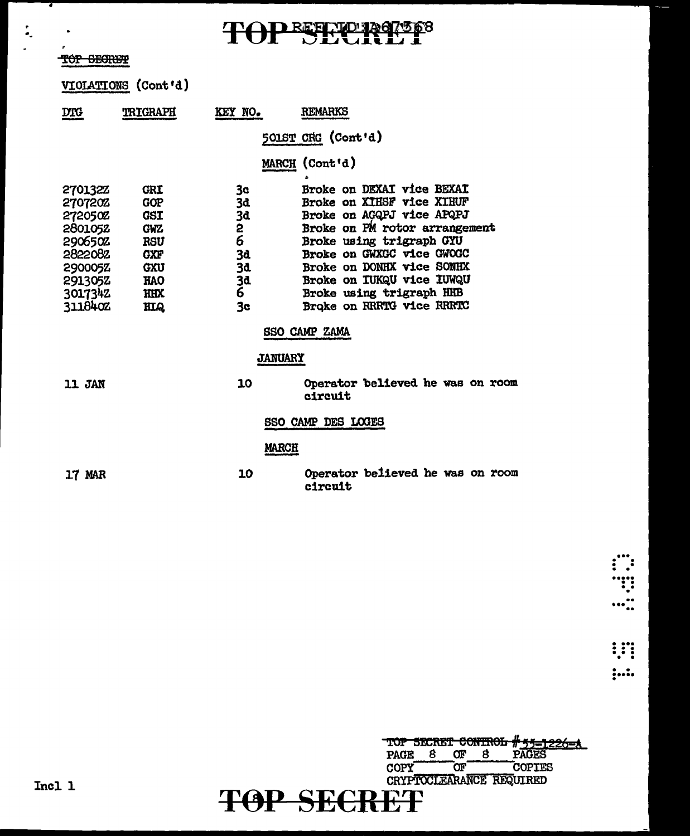# TOP SECRETS

### TOP SECRET

 $\frac{1}{\sigma_{\rm s}}$ 

VIOIATIONS (Cont'd)

| <u>DTG</u>                                                                                                               | <b>TRIGRAPH</b>                                                                                                                   | KEY NO.                                               | <b>REMARKS</b>                                                                                                                                                                                                                                                                                   |  |  |  |  |  |
|--------------------------------------------------------------------------------------------------------------------------|-----------------------------------------------------------------------------------------------------------------------------------|-------------------------------------------------------|--------------------------------------------------------------------------------------------------------------------------------------------------------------------------------------------------------------------------------------------------------------------------------------------------|--|--|--|--|--|
|                                                                                                                          |                                                                                                                                   |                                                       | 501ST CRG (Cont'd)                                                                                                                                                                                                                                                                               |  |  |  |  |  |
|                                                                                                                          |                                                                                                                                   |                                                       | MARCH (Cont'd)                                                                                                                                                                                                                                                                                   |  |  |  |  |  |
| <b>2701322</b><br>270720Z<br><b>272050Z</b><br>2801052<br>2906502<br>282208Z<br>290005Z<br>291305Z<br>3017342<br>311840Z | <b>GRI</b><br><b>GOP</b><br><b>GSI</b><br><b>GWZ</b><br><b>RSU</b><br><b>GXF</b><br><b>GXU</b><br><b>HAO</b><br><b>HHX</b><br>HIQ | 3c<br>3d<br>3d<br>2<br>6<br>3d<br>3d<br>3ª<br>6<br>3c | Broke on DEXAI vice BEXAI<br>Broke on XIHSF vice XIHUF<br>Broke on AGQPJ vice APQPJ<br>Broke on PM rotor arrangement<br>Broke using trigraph GYU<br>Broke on GWXGC vice GWOGC<br>Broke on DONHX vice SONHX<br>Broke on IUKQU vice IUWQU<br>Broke using trigraph HHB<br>Broke on RRRTG vice RRRTC |  |  |  |  |  |
|                                                                                                                          |                                                                                                                                   |                                                       |                                                                                                                                                                                                                                                                                                  |  |  |  |  |  |
|                                                                                                                          |                                                                                                                                   |                                                       | SSO CAMP ZAMA                                                                                                                                                                                                                                                                                    |  |  |  |  |  |
| <b>JANUARY</b>                                                                                                           |                                                                                                                                   |                                                       |                                                                                                                                                                                                                                                                                                  |  |  |  |  |  |
| <b>11 JAN</b>                                                                                                            |                                                                                                                                   | 10                                                    | Operator believed he was on room<br>circuit                                                                                                                                                                                                                                                      |  |  |  |  |  |
| SSO CAMP DES LOGES                                                                                                       |                                                                                                                                   |                                                       |                                                                                                                                                                                                                                                                                                  |  |  |  |  |  |
|                                                                                                                          |                                                                                                                                   | <b>MARCH</b>                                          |                                                                                                                                                                                                                                                                                                  |  |  |  |  |  |
| 17 MAR                                                                                                                   |                                                                                                                                   | 10                                                    | Operator believed he was on room<br>circuit                                                                                                                                                                                                                                                      |  |  |  |  |  |

|             |                          |     |  | TOP SECRET CONTROL # 55-1226-A |  |  |
|-------------|--------------------------|-----|--|--------------------------------|--|--|
| <b>PAGE</b> |                          | Œ   |  | PAGES                          |  |  |
| <b>GODA</b> |                          | יזר |  | COPTES                         |  |  |
|             | CRYPTOCLEARANCE REQUIRED |     |  |                                |  |  |
| TAD SECDET  |                          |     |  |                                |  |  |
| NI IX DI    |                          |     |  |                                |  |  |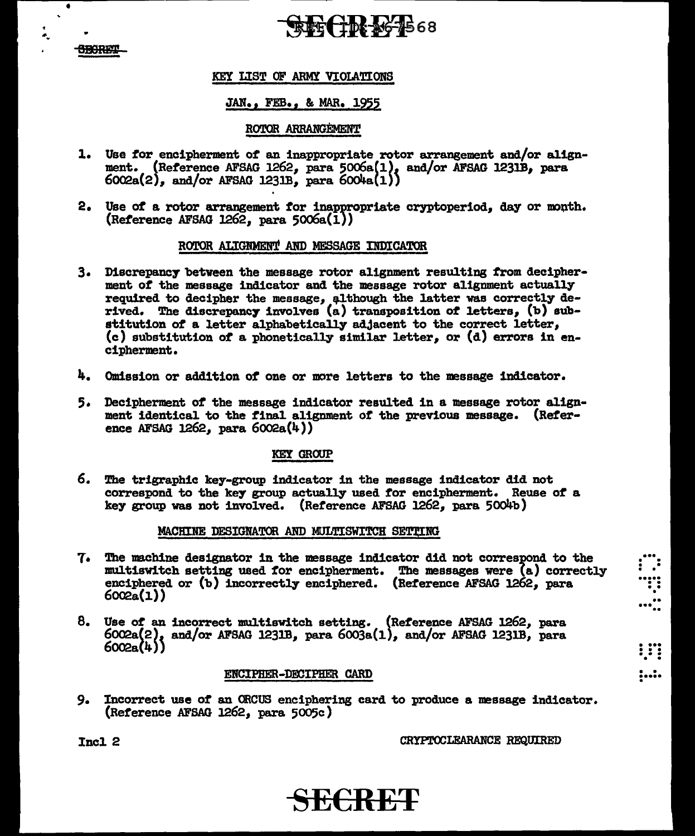### **SBORET**

•

 $\mathbf{r}$ 

"'·

## $\mathbb{R}$  of  $\{10, 36, 46, 68\}$

### KEY LIST OF ARMY VIOLATIONS

### JAN., FEB., & MAR. 1955

### ROTOR ARRANGEMENT

- 1. Use *tor* encipherment of an inappropriate rotor arrangement and/or alignment. (Reference AFSAG 1262, para 5006a(1), and/or AFSAG 1231B, para  $6002a(2)$ , and/or AFSAG 1231B, para  $6004a(1)$
- 2. Use of a rotor arrangement for inappropriate cryptoperiod, day or month.  $(Reference AFSAG 1262, para 5006a(1))$

### ROTOR ALIGNMENT AND MESSAGE INDICATOR

- 3. Discrepancy between the message rotor alignment resulting from decipherment of the message indicator and the message rotor alignment actually required to decipher the message, although the latter was correctly derived. The discrepancy involves  $(a)$  transposition of letters,  $(b)$  substitution of a letter alphabetically adjacent to the correct letter, (c) substitution of a phonetically similar letter, or (d) errors in encipherment.
- 4. Omission or addition of one or more letters to the message indicator.
- 5· Decipherment of the message indicator resulted in a message rotor alignment identical to the final aligmnent of the previous message. (Reference AFSAG 1262, para 6002a(4))

### KEt GROUP

6. The trigraphic key-group indicator in the message indicator did not correspond to the key group actually used tor encipherment. Reuse of a key group was not involved. (Reference AFSAG 1262, para 5004b)

### MACHINE DESIGNATOR AND MULTISWITCH SETTING

- $7.$  The machine designator in the message indicator did not correspond to the multiswitch setting used for encipherment. The messages were  $(a)$  correctly enciphered or (b) incorrectly enciphered. (Reference AFSAG 1262, para 6002a(l.))
- 8. Use of an incorrect multiswitch setting. (Reference AFSAG 1262, para  $6002a(2)$ , and/or AFSAG 1231B, para  $6003a(1)$ , and/or AFSAG 1231B, para 6002a(4)}

### ENCIPHER-DECIPHER CARD

9. Incorrect use of an ORCUS enciphering card to produce a message indicator. (Reference AFSAG 1262, para 5005c)

Incl. 2 CRYPTOCLEARANCE REQUIRED

...<br>...<br>. .  $\begin{array}{c} \begin{array}{c} \begin{array}{c} \text{i} \end{array} \end{array}$ ...<br>.....

. . . . •••• . . . .

. . ..... .

# **SE€RET**